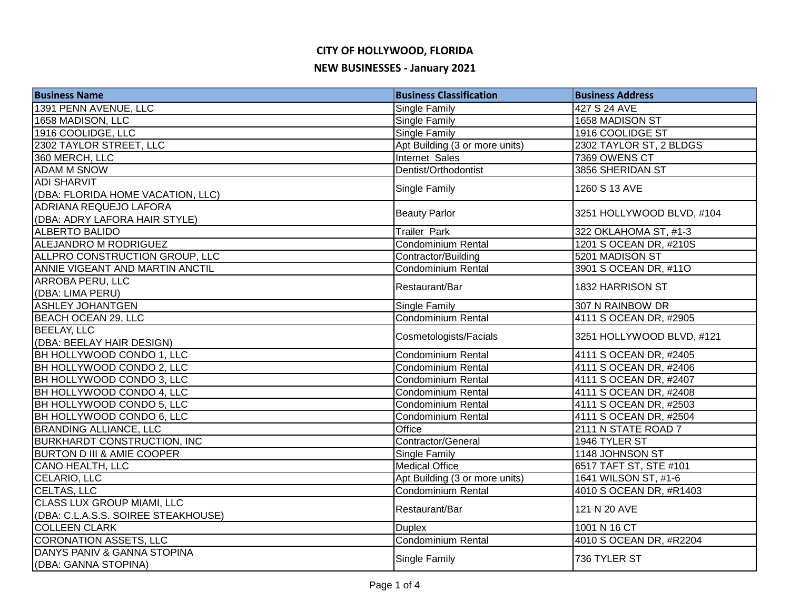## **CITY OF HOLLYWOOD, FLORIDA**

#### **NEW BUSINESSES - January 2021**

| <b>Business Name</b>                  | <b>Business Classification</b> | <b>Business Address</b>   |
|---------------------------------------|--------------------------------|---------------------------|
| 1391 PENN AVENUE, LLC                 | <b>Single Family</b>           | 427 S 24 AVE              |
| 1658 MADISON, LLC                     | <b>Single Family</b>           | 1658 MADISON ST           |
| 1916 COOLIDGE, LLC                    | <b>Single Family</b>           | 1916 COOLIDGE ST          |
| 2302 TAYLOR STREET, LLC               | Apt Building (3 or more units) | 2302 TAYLOR ST, 2 BLDGS   |
| 360 MERCH, LLC                        | Internet Sales                 | 7369 OWENS CT             |
| <b>ADAM M SNOW</b>                    | Dentist/Orthodontist           | 3856 SHERIDAN ST          |
| <b>ADI SHARVIT</b>                    | <b>Single Family</b>           | 1260 S 13 AVE             |
| (DBA: FLORIDA HOME VACATION, LLC)     |                                |                           |
| <b>ADRIANA REQUEJO LAFORA</b>         | <b>Beauty Parlor</b>           | 3251 HOLLYWOOD BLVD, #104 |
| (DBA: ADRY LAFORA HAIR STYLE)         |                                |                           |
| <b>ALBERTO BALIDO</b>                 | <b>Trailer Park</b>            | 322 OKLAHOMA ST, #1-3     |
| ALEJANDRO M RODRIGUEZ                 | Condominium Rental             | 1201 S OCEAN DR, #210S    |
| ALLPRO CONSTRUCTION GROUP, LLC        | Contractor/Building            | 5201 MADISON ST           |
| ANNIE VIGEANT AND MARTIN ANCTIL       | Condominium Rental             | 3901 S OCEAN DR, #11O     |
| ARROBA PERU, LLC                      |                                | 1832 HARRISON ST          |
| (DBA: LIMA PERU)                      | Restaurant/Bar                 |                           |
| <b>ASHLEY JOHANTGEN</b>               | <b>Single Family</b>           | 307 N RAINBOW DR          |
| BEACH OCEAN 29, LLC                   | Condominium Rental             | 4111 S OCEAN DR, #2905    |
| <b>BEELAY, LLC</b>                    | Cosmetologists/Facials         | 3251 HOLLYWOOD BLVD, #121 |
| (DBA: BEELAY HAIR DESIGN)             |                                |                           |
| BH HOLLYWOOD CONDO 1, LLC             | Condominium Rental             | 4111 S OCEAN DR, #2405    |
| BH HOLLYWOOD CONDO 2, LLC             | Condominium Rental             | 4111 S OCEAN DR, #2406    |
| <b>BH HOLLYWOOD CONDO 3, LLC</b>      | <b>Condominium Rental</b>      | 4111 S OCEAN DR, #2407    |
| BH HOLLYWOOD CONDO 4, LLC             | <b>Condominium Rental</b>      | 4111 S OCEAN DR, #2408    |
| BH HOLLYWOOD CONDO 5, LLC             | Condominium Rental             | 4111 S OCEAN DR, #2503    |
| BH HOLLYWOOD CONDO 6, LLC             | <b>Condominium Rental</b>      | 4111 S OCEAN DR, #2504    |
| <b>BRANDING ALLIANCE, LLC</b>         | <b>Office</b>                  | 2111 N STATE ROAD 7       |
| <b>BURKHARDT CONSTRUCTION, INC.</b>   | Contractor/General             | 1946 TYLER ST             |
| <b>BURTON D III &amp; AMIE COOPER</b> | <b>Single Family</b>           | 1148 JOHNSON ST           |
| <b>CANO HEALTH, LLC</b>               | <b>Medical Office</b>          | 6517 TAFT ST, STE #101    |
| CELARIO, LLC                          | Apt Building (3 or more units) | 1641 WILSON ST, #1-6      |
| CELTAS, LLC                           | Condominium Rental             | 4010 S OCEAN DR, #R1403   |
| <b>CLASS LUX GROUP MIAMI, LLC</b>     | Restaurant/Bar                 | 121 N 20 AVE              |
| (DBA: C.L.A.S.S. SOIREE STEAKHOUSE)   |                                |                           |
| <b>COLLEEN CLARK</b>                  | <b>Duplex</b>                  | 1001 N 16 CT              |
| <b>CORONATION ASSETS, LLC</b>         | <b>Condominium Rental</b>      | 4010 S OCEAN DR, #R2204   |
| DANYS PANIV & GANNA STOPINA           | <b>Single Family</b>           | 736 TYLER ST              |
| (DBA: GANNA STOPINA)                  |                                |                           |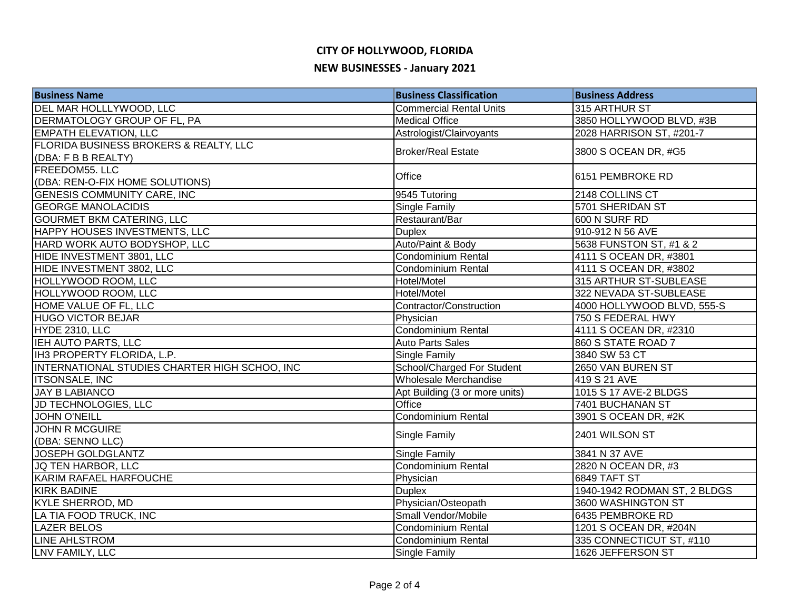#### **CITY OF HOLLYWOOD, FLORIDA**

#### **NEW BUSINESSES - January 2021**

| <b>Business Name</b>                          | <b>Business Classification</b> | <b>Business Address</b>      |
|-----------------------------------------------|--------------------------------|------------------------------|
| DEL MAR HOLLLYWOOD, LLC                       | <b>Commercial Rental Units</b> | 315 ARTHUR ST                |
| DERMATOLOGY GROUP OF FL, PA                   | <b>Medical Office</b>          | 3850 HOLLYWOOD BLVD, #3B     |
| <b>EMPATH ELEVATION, LLC</b>                  | Astrologist/Clairvoyants       | 2028 HARRISON ST, #201-7     |
| FLORIDA BUSINESS BROKERS & REALTY, LLC        | <b>Broker/Real Estate</b>      |                              |
| (DBA: F B B REALTY)                           |                                | 3800 S OCEAN DR, #G5         |
| FREEDOM55. LLC                                | Office                         | 6151 PEMBROKE RD             |
| (DBA: REN-O-FIX HOME SOLUTIONS)               |                                |                              |
| <b>GENESIS COMMUNITY CARE, INC</b>            | 9545 Tutoring                  | 2148 COLLINS CT              |
| <b>GEORGE MANOLACIDIS</b>                     | Single Family                  | 5701 SHERIDAN ST             |
| <b>GOURMET BKM CATERING, LLC</b>              | Restaurant/Bar                 | 600 N SURF RD                |
| HAPPY HOUSES INVESTMENTS, LLC                 | <b>Duplex</b>                  | 910-912 N 56 AVE             |
| HARD WORK AUTO BODYSHOP, LLC                  | Auto/Paint & Body              | 5638 FUNSTON ST, #1 & 2      |
| HIDE INVESTMENT 3801, LLC                     | <b>Condominium Rental</b>      | 4111 S OCEAN DR, #3801       |
| HIDE INVESTMENT 3802, LLC                     | <b>Condominium Rental</b>      | 4111 S OCEAN DR, #3802       |
| HOLLYWOOD ROOM, LLC                           | Hotel/Motel                    | 315 ARTHUR ST-SUBLEASE       |
| HOLLYWOOD ROOM, LLC                           | Hotel/Motel                    | 322 NEVADA ST-SUBLEASE       |
| HOME VALUE OF FL, LLC                         | Contractor/Construction        | 4000 HOLLYWOOD BLVD, 555-S   |
| <b>HUGO VICTOR BEJAR</b>                      | Physician                      | 750 S FEDERAL HWY            |
| HYDE 2310, LLC                                | Condominium Rental             | 4111 S OCEAN DR, #2310       |
| <b>IEH AUTO PARTS, LLC</b>                    | <b>Auto Parts Sales</b>        | 860 S STATE ROAD 7           |
| IH3 PROPERTY FLORIDA, L.P.                    | <b>Single Family</b>           | 3840 SW 53 CT                |
| INTERNATIONAL STUDIES CHARTER HIGH SCHOO, INC | School/Charged For Student     | 2650 VAN BUREN ST            |
| <b>ITSONSALE, INC</b>                         | Wholesale Merchandise          | 419 S 21 AVE                 |
| <b>JAY B LABIANCO</b>                         | Apt Building (3 or more units) | 1015 S 17 AVE-2 BLDGS        |
| JD TECHNOLOGIES, LLC                          | Office                         | 7401 BUCHANAN ST             |
| <b>JOHN O'NEILL</b>                           | <b>Condominium Rental</b>      | 3901 S OCEAN DR, #2K         |
| <b>JOHN R MCGUIRE</b>                         | <b>Single Family</b>           | 2401 WILSON ST               |
| (DBA: SENNO LLC)                              |                                |                              |
| <b>JOSEPH GOLDGLANTZ</b>                      | Single Family                  | 3841 N 37 AVE                |
| JQ TEN HARBOR, LLC                            | <b>Condominium Rental</b>      | 2820 N OCEAN DR, #3          |
| KARIM RAFAEL HARFOUCHE                        | Physician                      | 6849 TAFT ST                 |
| <b>KIRK BADINE</b>                            | <b>Duplex</b>                  | 1940-1942 RODMAN ST, 2 BLDGS |
| <b>KYLE SHERROD, MD</b>                       | Physician/Osteopath            | 3600 WASHINGTON ST           |
| LA TIA FOOD TRUCK, INC                        | Small Vendor/Mobile            | 6435 PEMBROKE RD             |
| <b>LAZER BELOS</b>                            | <b>Condominium Rental</b>      | 1201 S OCEAN DR, #204N       |
| <b>LINE AHLSTROM</b>                          | <b>Condominium Rental</b>      | 335 CONNECTICUT ST, #110     |
| LNV FAMILY, LLC                               | <b>Single Family</b>           | 1626 JEFFERSON ST            |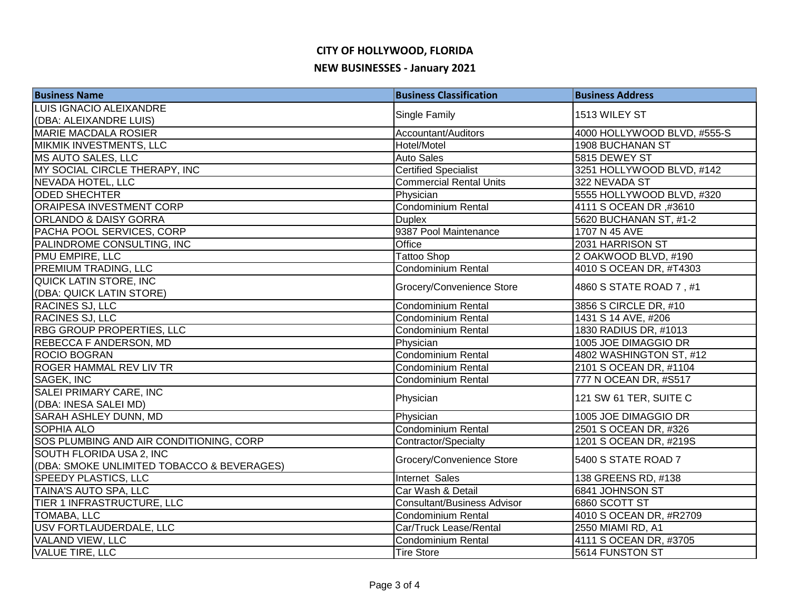# **CITY OF HOLLYWOOD, FLORIDA**

### **NEW BUSINESSES - January 2021**

| <b>Business Name</b>                       | <b>Business Classification</b>     | <b>Business Address</b>     |
|--------------------------------------------|------------------------------------|-----------------------------|
| LUIS IGNACIO ALEIXANDRE                    |                                    |                             |
| (DBA: ALEIXANDRE LUIS)                     | Single Family                      | 1513 WILEY ST               |
| <b>MARIE MACDALA ROSIER</b>                | Accountant/Auditors                | 4000 HOLLYWOOD BLVD, #555-S |
| MIKMIK INVESTMENTS, LLC                    | Hotel/Motel                        | 1908 BUCHANAN ST            |
| <b>MS AUTO SALES, LLC</b>                  | <b>Auto Sales</b>                  | 5815 DEWEY ST               |
| MY SOCIAL CIRCLE THERAPY, INC              | <b>Certified Specialist</b>        | 3251 HOLLYWOOD BLVD, #142   |
| <b>NEVADA HOTEL, LLC</b>                   | <b>Commercial Rental Units</b>     | 322 NEVADA ST               |
| <b>ODED SHECHTER</b>                       | Physician                          | 5555 HOLLYWOOD BLVD, #320   |
| ORAIPESA INVESTMENT CORP                   | <b>Condominium Rental</b>          | 4111 S OCEAN DR ,#3610      |
| <b>ORLANDO &amp; DAISY GORRA</b>           | <b>Duplex</b>                      | 5620 BUCHANAN ST, #1-2      |
| PACHA POOL SERVICES, CORP                  | 9387 Pool Maintenance              | 1707 N 45 AVE               |
| PALINDROME CONSULTING, INC                 | Office                             | 2031 HARRISON ST            |
| PMU EMPIRE, LLC                            | <b>Tattoo Shop</b>                 | 2 OAKWOOD BLVD, #190        |
| PREMIUM TRADING, LLC                       | <b>Condominium Rental</b>          | 4010 S OCEAN DR, #T4303     |
| QUICK LATIN STORE, INC                     | Grocery/Convenience Store          |                             |
| (DBA: QUICK LATIN STORE)                   |                                    | 4860 S STATE ROAD 7, #1     |
| RACINES SJ, LLC                            | <b>Condominium Rental</b>          | 3856 S CIRCLE DR, #10       |
| RACINES SJ, LLC                            | Condominium Rental                 | 1431 S 14 AVE, #206         |
| <b>RBG GROUP PROPERTIES, LLC</b>           | Condominium Rental                 | 1830 RADIUS DR, #1013       |
| REBECCA F ANDERSON, MD                     | Physician                          | 1005 JOE DIMAGGIO DR        |
| <b>ROCIO BOGRAN</b>                        | Condominium Rental                 | 4802 WASHINGTON ST, #12     |
| <b>ROGER HAMMAL REV LIV TR</b>             | Condominium Rental                 | 2101 S OCEAN DR, #1104      |
| <b>SAGEK, INC</b>                          | <b>Condominium Rental</b>          | 777 N OCEAN DR, #S517       |
| SALEI PRIMARY CARE, INC                    |                                    | 121 SW 61 TER, SUITE C      |
| (DBA: INESA SALEI MD)                      | Physician                          |                             |
| SARAH ASHLEY DUNN, MD                      | Physician                          | 1005 JOE DIMAGGIO DR        |
| <b>SOPHIA ALO</b>                          | <b>Condominium Rental</b>          | 2501 S OCEAN DR, #326       |
| SOS PLUMBING AND AIR CONDITIONING, CORP    | Contractor/Specialty               | 1201 S OCEAN DR, #219S      |
| SOUTH FLORIDA USA 2, INC                   | Grocery/Convenience Store          | 5400 S STATE ROAD 7         |
| (DBA: SMOKE UNLIMITED TOBACCO & BEVERAGES) |                                    |                             |
| <b>SPEEDY PLASTICS, LLC</b>                | Internet Sales                     | 138 GREENS RD, #138         |
| TAINA'S AUTO SPA, LLC                      | Car Wash & Detail                  | 6841 JOHNSON ST             |
| TIER 1 INFRASTRUCTURE, LLC                 | <b>Consultant/Business Advisor</b> | 6860 SCOTT ST               |
| <b>TOMABA, LLC</b>                         | <b>Condominium Rental</b>          | 4010 S OCEAN DR, #R2709     |
| USV FORTLAUDERDALE, LLC                    | Car/Truck Lease/Rental             | 2550 MIAMI RD, A1           |
| <b>VALAND VIEW, LLC</b>                    | <b>Condominium Rental</b>          | 4111 S OCEAN DR, #3705      |
| <b>VALUE TIRE, LLC</b>                     | <b>Tire Store</b>                  | 5614 FUNSTON ST             |